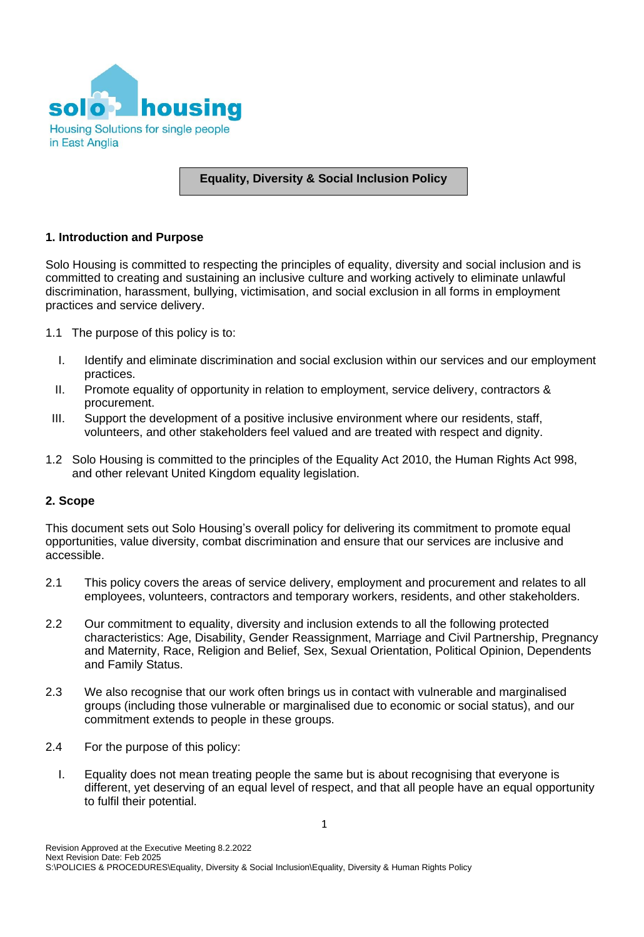

# **Equality, Diversity & Social Inclusion Policy**

## **1. Introduction and Purpose**

Solo Housing is committed to respecting the principles of equality, diversity and social inclusion and is committed to creating and sustaining an inclusive culture and working actively to eliminate unlawful discrimination, harassment, bullying, victimisation, and social exclusion in all forms in employment practices and service delivery.

- 1.1 The purpose of this policy is to:
	- I. Identify and eliminate discrimination and social exclusion within our services and our employment practices.
	- II. Promote equality of opportunity in relation to employment, service delivery, contractors & procurement.
	- III. Support the development of a positive inclusive environment where our residents, staff, volunteers, and other stakeholders feel valued and are treated with respect and dignity.
- 1.2 Solo Housing is committed to the principles of the Equality Act 2010, the Human Rights Act 998, and other relevant United Kingdom equality legislation.

## **2. Scope**

This document sets out Solo Housing's overall policy for delivering its commitment to promote equal opportunities, value diversity, combat discrimination and ensure that our services are inclusive and accessible.

- 2.1 This policy covers the areas of service delivery, employment and procurement and relates to all employees, volunteers, contractors and temporary workers, residents, and other stakeholders.
- 2.2 Our commitment to equality, diversity and inclusion extends to all the following protected characteristics: Age, Disability, Gender Reassignment, Marriage and Civil Partnership, Pregnancy and Maternity, Race, Religion and Belief, Sex, Sexual Orientation, Political Opinion, Dependents and Family Status.
- 2.3 We also recognise that our work often brings us in contact with vulnerable and marginalised groups (including those vulnerable or marginalised due to economic or social status), and our commitment extends to people in these groups.
- 2.4 For the purpose of this policy:
	- I. Equality does not mean treating people the same but is about recognising that everyone is different, yet deserving of an equal level of respect, and that all people have an equal opportunity to fulfil their potential.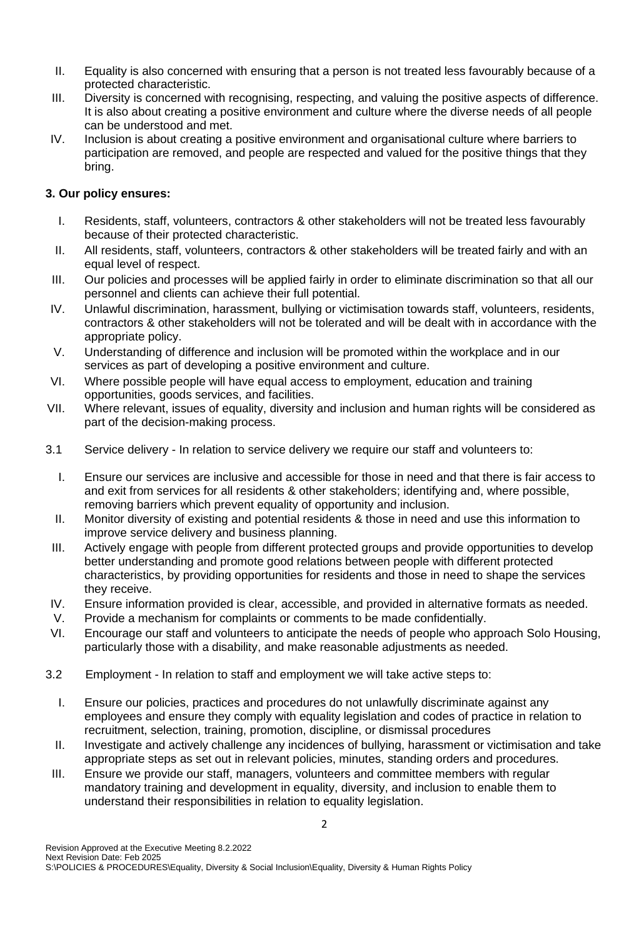- II. Equality is also concerned with ensuring that a person is not treated less favourably because of a protected characteristic.
- III. Diversity is concerned with recognising, respecting, and valuing the positive aspects of difference. It is also about creating a positive environment and culture where the diverse needs of all people can be understood and met.
- IV. Inclusion is about creating a positive environment and organisational culture where barriers to participation are removed, and people are respected and valued for the positive things that they bring.

# **3. Our policy ensures:**

- I. Residents, staff, volunteers, contractors & other stakeholders will not be treated less favourably because of their protected characteristic.
- II. All residents, staff, volunteers, contractors & other stakeholders will be treated fairly and with an equal level of respect.
- III. Our policies and processes will be applied fairly in order to eliminate discrimination so that all our personnel and clients can achieve their full potential.
- IV. Unlawful discrimination, harassment, bullying or victimisation towards staff, volunteers, residents, contractors & other stakeholders will not be tolerated and will be dealt with in accordance with the appropriate policy.
- V. Understanding of difference and inclusion will be promoted within the workplace and in our services as part of developing a positive environment and culture.
- VI. Where possible people will have equal access to employment, education and training opportunities, goods services, and facilities.
- VII. Where relevant, issues of equality, diversity and inclusion and human rights will be considered as part of the decision-making process.
- 3.1 Service delivery In relation to service delivery we require our staff and volunteers to:
	- I. Ensure our services are inclusive and accessible for those in need and that there is fair access to and exit from services for all residents & other stakeholders; identifying and, where possible, removing barriers which prevent equality of opportunity and inclusion.
	- II. Monitor diversity of existing and potential residents & those in need and use this information to improve service delivery and business planning.
	- III. Actively engage with people from different protected groups and provide opportunities to develop better understanding and promote good relations between people with different protected characteristics, by providing opportunities for residents and those in need to shape the services they receive.
- IV. Ensure information provided is clear, accessible, and provided in alternative formats as needed.
- V. Provide a mechanism for complaints or comments to be made confidentially.
- VI. Encourage our staff and volunteers to anticipate the needs of people who approach Solo Housing, particularly those with a disability, and make reasonable adjustments as needed.
- 3.2 Employment In relation to staff and employment we will take active steps to:
	- I. Ensure our policies, practices and procedures do not unlawfully discriminate against any employees and ensure they comply with equality legislation and codes of practice in relation to recruitment, selection, training, promotion, discipline, or dismissal procedures
	- II. Investigate and actively challenge any incidences of bullying, harassment or victimisation and take appropriate steps as set out in relevant policies, minutes, standing orders and procedures.
	- III. Ensure we provide our staff, managers, volunteers and committee members with regular mandatory training and development in equality, diversity, and inclusion to enable them to understand their responsibilities in relation to equality legislation.